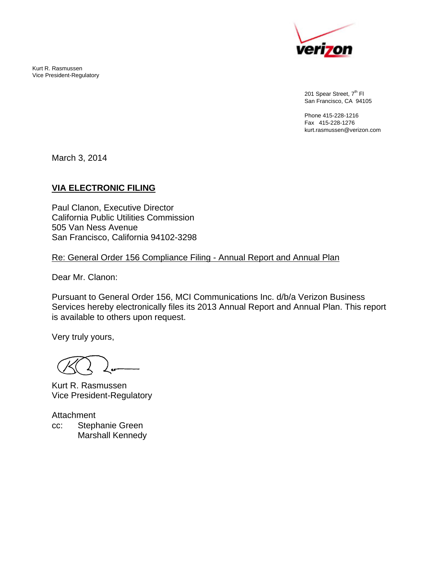Kurt R. Rasmussen Vice President-Regulatory



201 Spear Street, 7<sup>th</sup> Fl San Francisco, CA 94105

Phone 415-228-1216 Fax 415-228-1276 kurt.rasmussen@verizon.com

March 3, 2014

## **VIA ELECTRONIC FILING**

Paul Clanon, Executive Director California Public Utilities Commission 505 Van Ness Avenue San Francisco, California 94102-3298

Re: General Order 156 Compliance Filing - Annual Report and Annual Plan

Dear Mr. Clanon:

Pursuant to General Order 156, MCI Communications Inc. d/b/a Verizon Business Services hereby electronically files its 2013 Annual Report and Annual Plan. This report is available to others upon request.

Very truly yours,

Kurt R. Rasmussen Vice President-Regulatory

Attachment cc: Stephanie Green Marshall Kennedy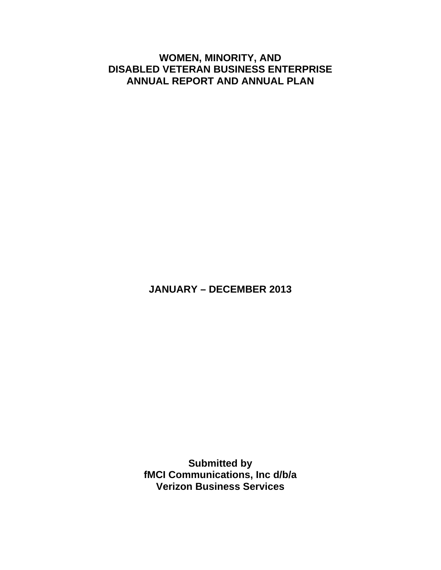## **WOMEN, MINORITY, AND DISABLED VETERAN BUSINESS ENTERPRISE ANNUAL REPORT AND ANNUAL PLAN**

**JANUARY – DECEMBER 2013** 

**Submitted by fMCI Communications, Inc d/b/a Verizon Business Services**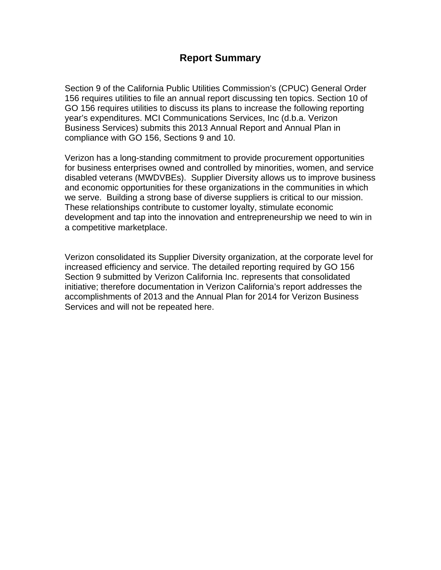## **Report Summary**

Section 9 of the California Public Utilities Commission's (CPUC) General Order 156 requires utilities to file an annual report discussing ten topics. Section 10 of GO 156 requires utilities to discuss its plans to increase the following reporting year's expenditures. MCI Communications Services, Inc (d.b.a. Verizon Business Services) submits this 2013 Annual Report and Annual Plan in compliance with GO 156, Sections 9 and 10.

Verizon has a long-standing commitment to provide procurement opportunities for business enterprises owned and controlled by minorities, women, and service disabled veterans (MWDVBEs). Supplier Diversity allows us to improve business and economic opportunities for these organizations in the communities in which we serve. Building a strong base of diverse suppliers is critical to our mission. These relationships contribute to customer loyalty, stimulate economic development and tap into the innovation and entrepreneurship we need to win in a competitive marketplace.

Verizon consolidated its Supplier Diversity organization, at the corporate level for increased efficiency and service. The detailed reporting required by GO 156 Section 9 submitted by Verizon California Inc. represents that consolidated initiative; therefore documentation in Verizon California's report addresses the accomplishments of 2013 and the Annual Plan for 2014 for Verizon Business Services and will not be repeated here.